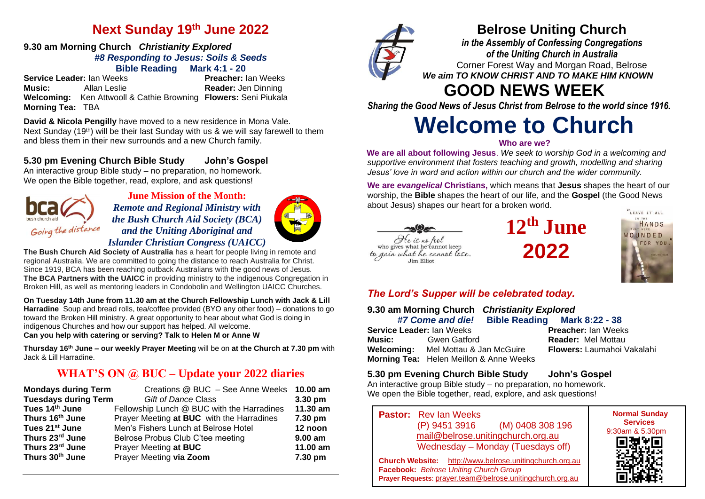# **Next Sunday 19th June 2022**

#### **9.30 am Morning Church** *Christianity Explored #8 Responding to Jesus: Soils & Seeds* **Bible Reading Mark 4:1 - 20**

**Service Leader:** Ian Weeks **Preacher:** Ian Weeks **Music:** Allan Leslie **Reader:** Jen Dinning **Welcoming:** Ken Attwooll & Cathie Browning **Flowers:** Seni Piukala **Morning Tea:** TBA

**David & Nicola Pengilly** have moved to a new residence in Mona Vale. Next Sunday  $(19<sup>th</sup>)$  will be their last Sunday with us & we will say farewell to them and bless them in their new surrounds and a new Church family.

## **5.30 pm Evening Church Bible Study John's Gospel**

An interactive group Bible study – no preparation, no homework. We open the Bible together, read, explore, and ask questions!



**June Mission of the Month:** *Remote and Regional Ministry with the Bush Church Aid Society (BCA) and the Uniting Aboriginal and Islander Christian Congress (UAICC)* 



**On Tuesday 14th June from 11.30 am at the Church Fellowship Lunch with Jack & Lill Harradine** Soup and bread rolls, tea/coffee provided (BYO any other food) – donations to go toward the Broken Hill ministry. A great opportunity to hear about what God is doing in indigenous Churches and how our support has helped. All welcome. **Can you help with catering or serving? Talk to Helen M or Anne W**

**Thursday 16th June – our weekly Prayer Meeting** will be on **at the Church at 7.30 pm** with Jack & Lill Harradine.

# **WHAT'S ON @ BUC – Update your 2022 diaries**

| <b>Mondays during Term</b>  | Creations @ BUC - See Anne Weeks 10.00 am  |                   |
|-----------------------------|--------------------------------------------|-------------------|
| <b>Tuesdays during Term</b> | <b>Gift of Dance Class</b>                 | $3.30 \text{ pm}$ |
| Tues 14th June              | Fellowship Lunch @ BUC with the Harradines | 11.30 am          |
| Thurs 16th June             | Prayer Meeting at BUC with the Harradines  | 7.30 pm           |
| Tues 21 <sup>st</sup> June  | Men's Fishers Lunch at Belrose Hotel       | 12 noon           |
| Thurs 23rd June             | Belrose Probus Club C'tee meeting          | $9.00$ am         |
| Thurs 23rd June             | Prayer Meeting at BUC                      | 11.00 am          |
| Thurs 30th June             | Prayer Meeting via Zoom                    | 7.30 pm           |



# **Belrose Uniting Church**

*in the Assembly of Confessing Congregations of the Uniting Church in Australia* Corner Forest Way and Morgan Road, Belrose *We aim TO KNOW CHRIST AND TO MAKE HIM KNOWN*

# **GOOD NEWS WEEK**

*Sharing the Good News of Jesus Christ from Belrose to the world since 1916.*

# **Welcome to Church**

#### **Who are we?**

**We are all about following Jesus**. *We seek to worship God in a welcoming and supportive environment that fosters teaching and growth, modelling and sharing Jesus' love in word and action within our church and the wider community.*

**We are** *evangelical* **Christians,** which means that **Jesus** shapes the heart of our worship, the **Bible** shapes the heart of our life, and the **Gospel** (the Good News about Jesus) shapes our heart for a broken world.



**12th June 2022**



# *The Lord's Supper will be celebrated today.*

| 9.30 am Morning Church Christianity Explored  |                                         |  |                                   |  |
|-----------------------------------------------|-----------------------------------------|--|-----------------------------------|--|
| #7 Come and die! Bible Reading Mark 8:22 - 38 |                                         |  |                                   |  |
| <b>Service Leader: Ian Weeks</b>              |                                         |  | <b>Preacher: Ian Weeks</b>        |  |
|                                               | <b>Music:</b> Gwen Gatford              |  | <b>Reader: Mel Mottau</b>         |  |
|                                               | Welcoming: Mel Mottau & Jan McGuire     |  | <b>Flowers: Laumahoi Vakalahi</b> |  |
|                                               | Morning Tea: Helen Meillon & Anne Weeks |  |                                   |  |

## **5.30 pm Evening Church Bible Study John's Gospel**

An interactive group Bible study – no preparation, no homework. We open the Bible together, read, explore, and ask questions!

**Pastor:** Rev Ian Weeks (P) 9451 3916 (M) 0408 308 196 [mail@belrose.unitingchurch.org.au](mailto:mail@belrose.unitingchurch.org.au) Wednesday – Monday (Tuesdays off) **Church Website:** [http://www.belrose.unitingchurch.org.au](http://www.belrose.unitingchurch.org.au/)

**Prayer Requests**: [prayer.team@belrose.unitingchurch.org.au](mailto:prayer.team@belrose.unitingchurch.org.au)

**Facebook:** *Belrose Uniting Church Group*